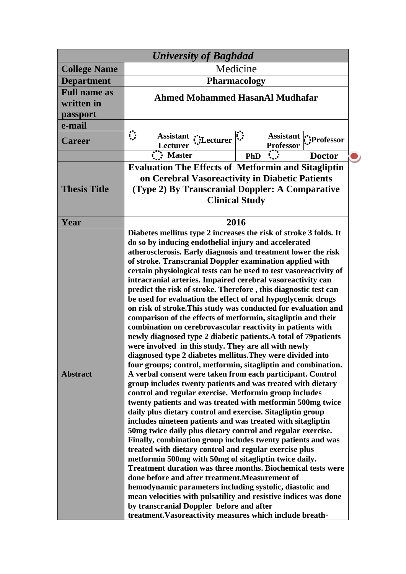| <b>University of Baghdad</b>                  |                                                                                                                                                                                                                                                                                                                                                                                                                                                                                                                                                                                                                                                                                                                                                                                                                                                                                                                                                                                                                                                                                                                                                                                                                                                                                                                                                                                                                                                                                                                                                                                                                                                                                                                                                                                                                                                                                                                                                                                                |
|-----------------------------------------------|------------------------------------------------------------------------------------------------------------------------------------------------------------------------------------------------------------------------------------------------------------------------------------------------------------------------------------------------------------------------------------------------------------------------------------------------------------------------------------------------------------------------------------------------------------------------------------------------------------------------------------------------------------------------------------------------------------------------------------------------------------------------------------------------------------------------------------------------------------------------------------------------------------------------------------------------------------------------------------------------------------------------------------------------------------------------------------------------------------------------------------------------------------------------------------------------------------------------------------------------------------------------------------------------------------------------------------------------------------------------------------------------------------------------------------------------------------------------------------------------------------------------------------------------------------------------------------------------------------------------------------------------------------------------------------------------------------------------------------------------------------------------------------------------------------------------------------------------------------------------------------------------------------------------------------------------------------------------------------------------|
| <b>College Name</b>                           | Medicine                                                                                                                                                                                                                                                                                                                                                                                                                                                                                                                                                                                                                                                                                                                                                                                                                                                                                                                                                                                                                                                                                                                                                                                                                                                                                                                                                                                                                                                                                                                                                                                                                                                                                                                                                                                                                                                                                                                                                                                       |
| <b>Department</b>                             | <b>Pharmacology</b>                                                                                                                                                                                                                                                                                                                                                                                                                                                                                                                                                                                                                                                                                                                                                                                                                                                                                                                                                                                                                                                                                                                                                                                                                                                                                                                                                                                                                                                                                                                                                                                                                                                                                                                                                                                                                                                                                                                                                                            |
| <b>Full name as</b><br>written in<br>passport | <b>Ahmed Mohammed HasanAl Mudhafar</b>                                                                                                                                                                                                                                                                                                                                                                                                                                                                                                                                                                                                                                                                                                                                                                                                                                                                                                                                                                                                                                                                                                                                                                                                                                                                                                                                                                                                                                                                                                                                                                                                                                                                                                                                                                                                                                                                                                                                                         |
| e-mail                                        |                                                                                                                                                                                                                                                                                                                                                                                                                                                                                                                                                                                                                                                                                                                                                                                                                                                                                                                                                                                                                                                                                                                                                                                                                                                                                                                                                                                                                                                                                                                                                                                                                                                                                                                                                                                                                                                                                                                                                                                                |
| <b>Career</b>                                 | ़<br>$\sum_{i=1}^{n}$<br><b>Assistant</b><br>Assistant :: Professor<br><b>Professor</b><br>Lecturer                                                                                                                                                                                                                                                                                                                                                                                                                                                                                                                                                                                                                                                                                                                                                                                                                                                                                                                                                                                                                                                                                                                                                                                                                                                                                                                                                                                                                                                                                                                                                                                                                                                                                                                                                                                                                                                                                            |
|                                               | <b>Master</b><br><b>Doctor</b><br><b>PhD</b>                                                                                                                                                                                                                                                                                                                                                                                                                                                                                                                                                                                                                                                                                                                                                                                                                                                                                                                                                                                                                                                                                                                                                                                                                                                                                                                                                                                                                                                                                                                                                                                                                                                                                                                                                                                                                                                                                                                                                   |
| <b>Thesis Title</b>                           | <b>Evaluation The Effects of Metformin and Sitagliptin</b><br>on Cerebral Vasoreactivity in Diabetic Patients<br>(Type 2) By Transcranial Doppler: A Comparative<br><b>Clinical Study</b>                                                                                                                                                                                                                                                                                                                                                                                                                                                                                                                                                                                                                                                                                                                                                                                                                                                                                                                                                                                                                                                                                                                                                                                                                                                                                                                                                                                                                                                                                                                                                                                                                                                                                                                                                                                                      |
| Year                                          | 2016                                                                                                                                                                                                                                                                                                                                                                                                                                                                                                                                                                                                                                                                                                                                                                                                                                                                                                                                                                                                                                                                                                                                                                                                                                                                                                                                                                                                                                                                                                                                                                                                                                                                                                                                                                                                                                                                                                                                                                                           |
| <b>Abstract</b>                               | Diabetes mellitus type 2 increases the risk of stroke 3 folds. It<br>do so by inducing endothelial injury and accelerated<br>atherosclerosis. Early diagnosis and treatment lower the risk<br>of stroke. Transcranial Doppler examination applied with<br>certain physiological tests can be used to test vasore activity of<br>intracranial arteries. Impaired cerebral vasoreactivity can<br>predict the risk of stroke. Therefore, this diagnostic test can<br>be used for evaluation the effect of oral hypoglycemic drugs<br>on risk of stroke. This study was conducted for evaluation and<br>comparison of the effects of metformin, sitagliptin and their<br>combination on cerebrovascular reactivity in patients with<br>newly diagnosed type 2 diabetic patients. A total of 79 patients<br>were involved in this study. They are all with newly<br>diagnosed type 2 diabetes mellitus. They were divided into<br>four groups; control, metformin, sitagliptin and combination.<br>A verbal consent were taken from each participant. Control<br>group includes twenty patients and was treated with dietary<br>control and regular exercise. Metformin group includes<br>twenty patients and was treated with metformin 500mg twice<br>daily plus dietary control and exercise. Sitagliptin group<br>includes nineteen patients and was treated with sitagliptin<br>50 mg twice daily plus dietary control and regular exercise.<br>Finally, combination group includes twenty patients and was<br>treated with dietary control and regular exercise plus<br>metformin 500mg with 50mg of sitagliptin twice daily.<br><b>Treatment duration was three months. Biochemical tests were</b><br>done before and after treatment. Measurement of<br>hemodynamic parameters including systolic, diastolic and<br>mean velocities with pulsatility and resistive indices was done<br>by transcranial Doppler before and after<br>treatment. Vasoreactivity measures which include breath- |